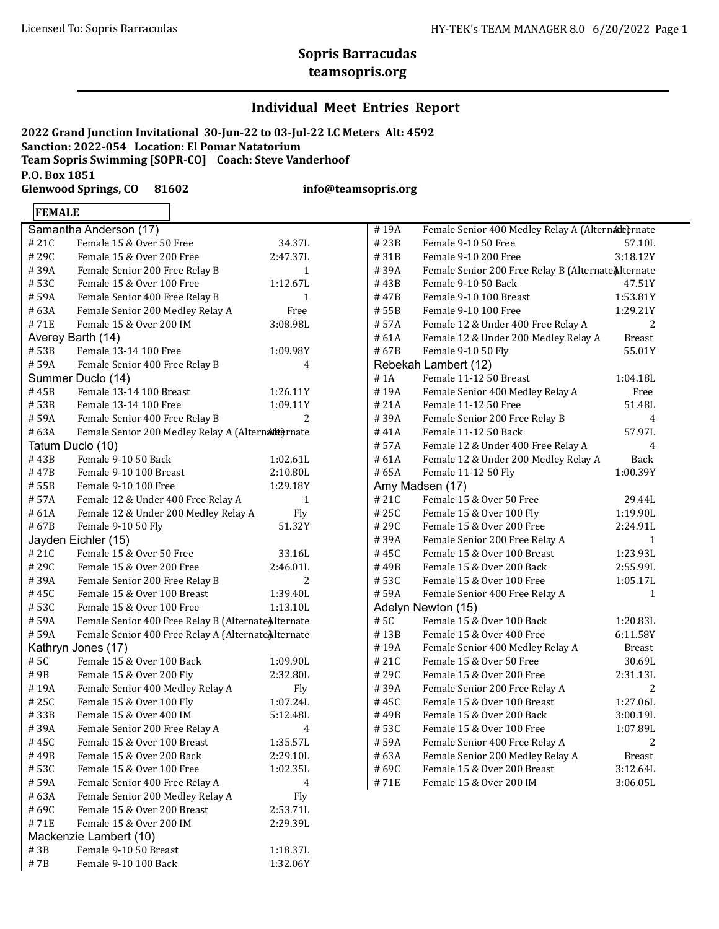# **Sopris Barracudas**

### **teamsopris.org**

### **Individual Meet Entries Report**

**2022 Grand Junction Invitational 30-Jun-22 to 03-Jul-22 LC Meters Alt: 4592 Sanction: 2022-054 Location: El Pomar Natatorium Team Sopris Swimming [SOPR-CO] Coach: Steve Vanderhoof P.O. Box 1851 Glenwood Springs, CO 81602 info@teamsopris.org**

### **FEMALE**

| Samantha Anderson (17)                                      |                                                     |              |  |  |  |  |
|-------------------------------------------------------------|-----------------------------------------------------|--------------|--|--|--|--|
| #21C                                                        | Female 15 & Over 50 Free                            | 34.37L       |  |  |  |  |
| #29C                                                        | Female 15 & Over 200 Free                           | 2:47.37L     |  |  |  |  |
| #39A                                                        | Female Senior 200 Free Relay B                      | $\mathbf{1}$ |  |  |  |  |
| # 53C                                                       | Female 15 & Over 100 Free                           | 1:12.67L     |  |  |  |  |
| # 59A                                                       | Female Senior 400 Free Relay B                      | 1            |  |  |  |  |
| # 63A                                                       | Female Senior 200 Medley Relay A                    | Free         |  |  |  |  |
| # 71E                                                       | Female 15 & Over 200 IM                             | 3:08.98L     |  |  |  |  |
|                                                             | Averey Barth (14)                                   |              |  |  |  |  |
| #53B                                                        | Female 13-14 100 Free                               | 1:09.98Y     |  |  |  |  |
| # 59A                                                       | Female Senior 400 Free Relay B                      | 4            |  |  |  |  |
|                                                             | Summer Duclo (14)                                   |              |  |  |  |  |
| #45B                                                        | Female 13-14 100 Breast                             | 1:26.11Y     |  |  |  |  |
| #53B                                                        | Female 13-14 100 Free                               | 1:09.11Y     |  |  |  |  |
| #59A                                                        | Female Senior 400 Free Relay B                      | 2            |  |  |  |  |
| #63A                                                        | Female Senior 200 Medley Relay A (Alternadde) rnate |              |  |  |  |  |
|                                                             | Tatum Duclo (10)                                    |              |  |  |  |  |
| # 43B                                                       | Female 9-10 50 Back                                 | 1:02.61L     |  |  |  |  |
| # 47B                                                       | Female 9-10 100 Breast                              | 2:10.80L     |  |  |  |  |
| # 55B                                                       | Female 9-10 100 Free                                | 1:29.18Y     |  |  |  |  |
| # 57A                                                       | Female 12 & Under 400 Free Relay A                  | 1            |  |  |  |  |
| # 61A                                                       | Female 12 & Under 200 Medley Relay A                | Fly          |  |  |  |  |
| #67B                                                        | Female 9-10 50 Fly                                  | 51.32Y       |  |  |  |  |
|                                                             | Jayden Eichler (15)                                 |              |  |  |  |  |
| #21C                                                        | Female 15 & Over 50 Free                            | 33.16L       |  |  |  |  |
| #29C                                                        | Female 15 & Over 200 Free                           | 2:46.01L     |  |  |  |  |
| # 39A                                                       | Female Senior 200 Free Relay B                      | 2            |  |  |  |  |
| #45C                                                        | Female 15 & Over 100 Breast                         | 1:39.40L     |  |  |  |  |
| #53C                                                        | Female 15 & Over 100 Free                           | 1:13.10L     |  |  |  |  |
| # 59A                                                       | Female Senior 400 Free Relay B (Alternate Alternate |              |  |  |  |  |
| Female Senior 400 Free Relay A (Alternate Alternate<br>#59A |                                                     |              |  |  |  |  |
| Kathryn Jones (17)                                          |                                                     |              |  |  |  |  |
| #5C                                                         | Female 15 & Over 100 Back                           | 1:09.90L     |  |  |  |  |
| # 9B                                                        | Female 15 & Over 200 Fly                            | 2:32.80L     |  |  |  |  |
| # 19A                                                       | Female Senior 400 Medley Relay A                    | Fly          |  |  |  |  |
| # 25C                                                       | Female 15 & Over 100 Fly                            | 1:07.24L     |  |  |  |  |
| #33B                                                        | Female 15 & Over 400 IM                             | 5:12.48L     |  |  |  |  |
| #39A                                                        | Female Senior 200 Free Relay A                      | 4            |  |  |  |  |
| #45C                                                        | Female 15 & Over 100 Breast                         | 1:35.57L     |  |  |  |  |
| #49B                                                        | Female 15 & Over 200 Back                           | 2:29.10L     |  |  |  |  |
| #53C                                                        | Female 15 & Over 100 Free                           | 1:02.35L     |  |  |  |  |
| #59A                                                        | Female Senior 400 Free Relay A                      | 4            |  |  |  |  |
| #63A                                                        | Female Senior 200 Medley Relay A                    | Fly          |  |  |  |  |
| #69C                                                        | Female 15 & Over 200 Breast                         | 2:53.71L     |  |  |  |  |
| #71E                                                        | Female 15 & Over 200 IM                             | 2:29.39L     |  |  |  |  |
| Mackenzie Lambert (10)                                      |                                                     |              |  |  |  |  |
| #3B                                                         | Female 9-10 50 Breast                               | 1:18.37L     |  |  |  |  |
| #7B                                                         | Female 9-10 100 Back                                | 1:32.06Y     |  |  |  |  |

| Female Senior 400 Medley Relay A (Alternade) rnate<br>#19A |                                                     |               |  |  |  |
|------------------------------------------------------------|-----------------------------------------------------|---------------|--|--|--|
| # 23B                                                      | Female 9-10 50 Free                                 | 57.10L        |  |  |  |
| #31B                                                       | Female 9-10 200 Free                                | 3:18.12Y      |  |  |  |
| # 39A                                                      | Female Senior 200 Free Relay B (Alternate Alternate |               |  |  |  |
| #43B                                                       | Female 9-10 50 Back                                 | 47.51Y        |  |  |  |
| # 47B                                                      | Female 9-10 100 Breast                              | 1:53.81Y      |  |  |  |
| # 55B                                                      | Female 9-10 100 Free                                | 1:29.21Y      |  |  |  |
| # 57A                                                      | Female 12 & Under 400 Free Relay A                  | 2             |  |  |  |
| # 61A                                                      | Female 12 & Under 200 Medley Relay A                | <b>Breast</b> |  |  |  |
| # 67B                                                      | Female 9-10 50 Fly                                  | 55.01Y        |  |  |  |
|                                                            | Rebekah Lambert (12)                                |               |  |  |  |
| # 1A                                                       | Female 11-12 50 Breast                              | 1:04.18L      |  |  |  |
| #19A                                                       | Female Senior 400 Medley Relay A                    | Free          |  |  |  |
| # 21A                                                      | Female 11-12 50 Free                                | 51.48L        |  |  |  |
| #39A                                                       | Female Senior 200 Free Relay B                      | 4             |  |  |  |
| #41A                                                       | Female 11-12 50 Back                                | 57.97L        |  |  |  |
| # 57A                                                      | Female 12 & Under 400 Free Relay A                  | 4             |  |  |  |
| # 61A                                                      | Female 12 & Under 200 Medley Relay A                | Back          |  |  |  |
| #65A                                                       | Female 11-12 50 Fly                                 | 1:00.39Y      |  |  |  |
|                                                            | Amy Madsen (17)                                     |               |  |  |  |
| #21C                                                       | Female 15 & Over 50 Free                            | 29.44L        |  |  |  |
| #25C                                                       | Female 15 & Over 100 Fly                            | 1:19.90L      |  |  |  |
| # 29C                                                      | Female 15 & Over 200 Free                           | 2:24.91L      |  |  |  |
| #39A                                                       | Female Senior 200 Free Relay A                      | 1             |  |  |  |
| #45C                                                       | Female 15 & Over 100 Breast                         | 1:23.93L      |  |  |  |
| # 49B                                                      | Female 15 & Over 200 Back                           | 2:55.99L      |  |  |  |
| #53C                                                       | Female 15 & Over 100 Free                           | 1:05.17L      |  |  |  |
| #59A                                                       | Female Senior 400 Free Relay A                      | 1             |  |  |  |
|                                                            | Adelyn Newton (15)                                  |               |  |  |  |
| #5C                                                        | Female 15 & Over 100 Back                           | 1:20.83L      |  |  |  |
| #13B                                                       | Female 15 & Over 400 Free                           | 6:11.58Y      |  |  |  |
| #19A                                                       | Female Senior 400 Medley Relay A                    | Breast        |  |  |  |
| #21C                                                       | Female 15 & Over 50 Free                            | 30.69L        |  |  |  |
| #29C                                                       | Female 15 & Over 200 Free                           | 2:31.13L      |  |  |  |
| # 39A                                                      | Female Senior 200 Free Relay A                      | 2             |  |  |  |
| # 45C                                                      | Female 15 & Over 100 Breast                         | 1:27.06L      |  |  |  |
| #49B                                                       | Female 15 & Over 200 Back                           | 3:00.19L      |  |  |  |
| #53C                                                       | Female 15 & Over 100 Free                           | 1:07.89L      |  |  |  |
| # 59A                                                      | Female Senior 400 Free Relay A                      | 2             |  |  |  |
| #63A                                                       | Female Senior 200 Medley Relay A                    | <b>Breast</b> |  |  |  |
| #69C                                                       | Female 15 & Over 200 Breast                         | 3:12.64L      |  |  |  |
| #71E                                                       | Female 15 & Over 200 IM                             | 3:06.05L      |  |  |  |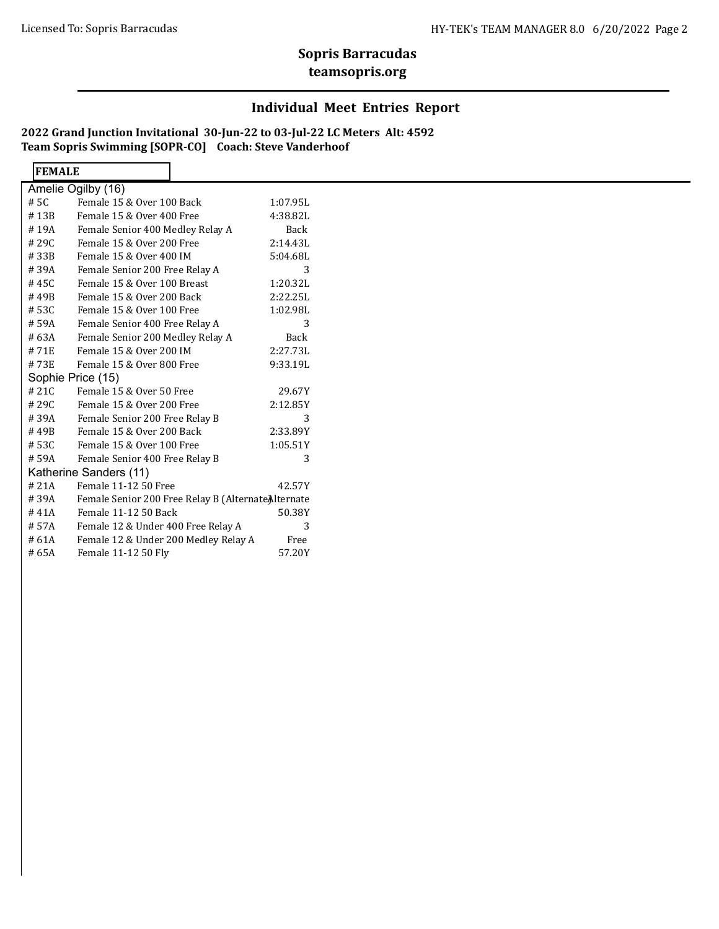# **Sopris Barracudas**

### **teamsopris.org**

### **Individual Meet Entries Report**

**2022 Grand Junction Invitational 30-Jun-22 to 03-Jul-22 LC Meters Alt: 4592 Team Sopris Swimming [SOPR-CO] Coach: Steve Vanderhoof**

 $\overline{\mathbf{r}}$ 

| <b>FEMALE</b>          |                                                     |             |  |
|------------------------|-----------------------------------------------------|-------------|--|
|                        | Amelie Ogilby (16)                                  |             |  |
| # 5C                   | Female 15 & Over 100 Back                           | 1:07.95L    |  |
| #13B                   | Female 15 & Over 400 Free                           | 4:38.82L    |  |
| #19A                   | Female Senior 400 Medley Relay A                    | Back        |  |
| # 29C                  | Female 15 & Over 200 Free                           | 2:14.43L    |  |
| #33B                   | Female 15 & Over 400 IM                             | 5:04.68L    |  |
| #39A                   | Female Senior 200 Free Relay A                      | 3           |  |
| # 45C                  | Female 15 & Over 100 Breast                         | 1:20.32L    |  |
| #49B                   | Female 15 & Over 200 Back                           | 2:22.25L    |  |
| # 53C                  | Female 15 & Over 100 Free                           | 1:02.98L    |  |
| # 59A                  | Female Senior 400 Free Relay A                      | 3           |  |
| # 63A                  | Female Senior 200 Medley Relay A                    | <b>Back</b> |  |
| #71E                   | Female 15 & Over 200 IM                             | 2:27.73L    |  |
| #73E                   | Female 15 & Over 800 Free                           | 9:33.19L    |  |
|                        | Sophie Price (15)                                   |             |  |
| #21C                   | Female 15 & Over 50 Free                            | 29.67Y      |  |
| # 29C                  | Female 15 & Over 200 Free                           | 2:12.85Y    |  |
| #39A                   | Female Senior 200 Free Relay B                      | 3           |  |
| #49B                   | Female 15 & Over 200 Back                           | 2:33.89Y    |  |
| # 53C                  | Female 15 & Over 100 Free                           | 1:05.51Y    |  |
| #59A                   | Female Senior 400 Free Relay B                      | 3           |  |
| Katherine Sanders (11) |                                                     |             |  |
| #21A                   | Female 11-12 50 Free                                | 42.57Y      |  |
| #39A                   | Female Senior 200 Free Relay B (Alternate Alternate |             |  |
| #41A                   | Female 11-12 50 Back                                | 50.38Y      |  |
| # 57A                  | Female 12 & Under 400 Free Relay A                  | 3           |  |
| #61A                   | Female 12 & Under 200 Medley Relay A                | Free        |  |
| #65A                   | Female 11-12 50 Fly                                 | 57.20Y      |  |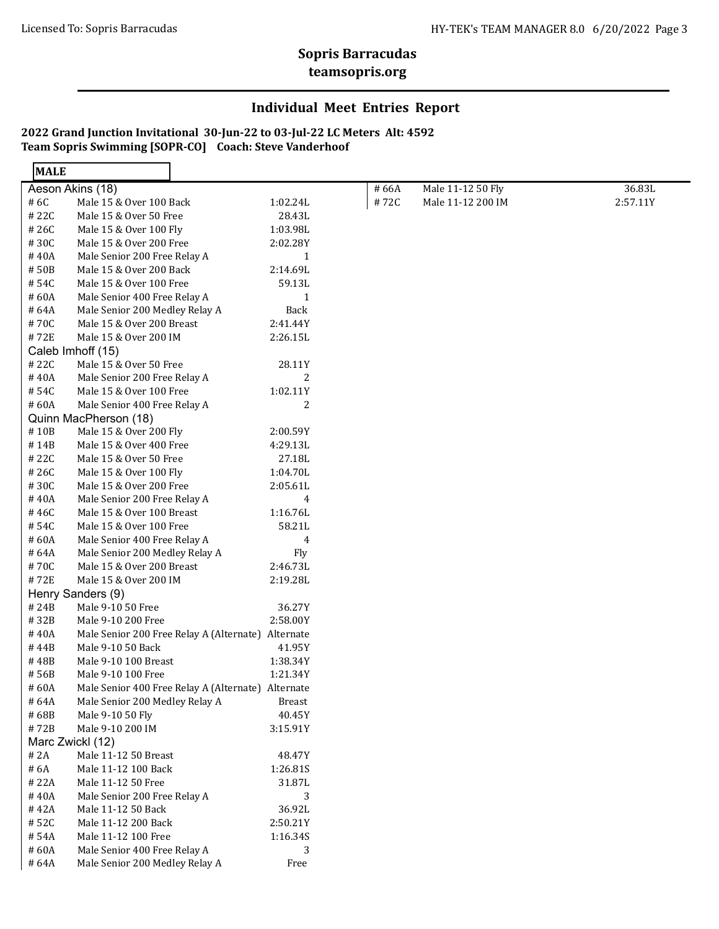# **Sopris Barracudas**

#### **teamsopris.org**

### **Individual Meet Entries Report**

#### **2022 Grand Junction Invitational 30-Jun-22 to 03-Jul-22 LC Meters Alt: 4592 Team Sopris Swimming [SOPR-CO] Coach: Steve Vanderhoof**

 $\overline{\mathbf{I}}$ 

| <b>MALE</b> |                                                    |              |       |                   |          |
|-------------|----------------------------------------------------|--------------|-------|-------------------|----------|
|             | Aeson Akins (18)                                   |              | # 66A | Male 11-12 50 Fly | 36.83L   |
| # 6C        | Male 15 & Over 100 Back                            | 1:02.24L     | #72C  | Male 11-12 200 IM | 2:57.11Y |
| #22C        | Male 15 & Over 50 Free                             | 28.43L       |       |                   |          |
| #26C        | Male 15 & Over 100 Fly                             | 1:03.98L     |       |                   |          |
| #30C        | Male 15 & Over 200 Free                            | 2:02.28Y     |       |                   |          |
| #40A        | Male Senior 200 Free Relay A                       | $\mathbf{1}$ |       |                   |          |
| #50B        | Male 15 & Over 200 Back                            | 2:14.69L     |       |                   |          |
| #54C        | Male 15 & Over 100 Free                            | 59.13L       |       |                   |          |
| #60A        | Male Senior 400 Free Relay A                       | $\mathbf{1}$ |       |                   |          |
| #64A        | Male Senior 200 Medley Relay A                     | Back         |       |                   |          |
| #70C        | Male 15 & Over 200 Breast                          | 2:41.44Y     |       |                   |          |
| #72E        | Male 15 & Over 200 IM                              | 2:26.15L     |       |                   |          |
|             | Caleb Imhoff (15)                                  |              |       |                   |          |
| #22C        | Male 15 & Over 50 Free                             | 28.11Y       |       |                   |          |
| #40A        | Male Senior 200 Free Relay A                       | 2            |       |                   |          |
| #54C        | Male 15 & Over 100 Free                            | 1:02.11Y     |       |                   |          |
| #60A        | Male Senior 400 Free Relay A                       | 2            |       |                   |          |
|             | Quinn MacPherson (18)                              |              |       |                   |          |
| #10B        | Male 15 & Over 200 Fly                             | 2:00.59Y     |       |                   |          |
| #14B        | Male 15 & Over 400 Free                            | 4:29.13L     |       |                   |          |
| #22C        | Male 15 & Over 50 Free                             | 27.18L       |       |                   |          |
| #26C        | Male 15 & Over 100 Fly                             | 1:04.70L     |       |                   |          |
| #30C        | Male 15 & Over 200 Free                            | 2:05.61L     |       |                   |          |
| #40A        | Male Senior 200 Free Relay A                       | 4            |       |                   |          |
| #46C        | Male 15 & Over 100 Breast                          | 1:16.76L     |       |                   |          |
| #54C        | Male 15 & Over 100 Free                            | 58.21L       |       |                   |          |
| #60A        | Male Senior 400 Free Relay A                       | 4            |       |                   |          |
| #64A        | Male Senior 200 Medley Relay A                     | <b>Fly</b>   |       |                   |          |
| #70C        | Male 15 & Over 200 Breast                          | 2:46.73L     |       |                   |          |
| #72E        | Male 15 & Over 200 IM                              | 2:19.28L     |       |                   |          |
|             | Henry Sanders (9)                                  |              |       |                   |          |
| # 24B       | Male 9-10 50 Free                                  | 36.27Y       |       |                   |          |
| #32B        | Male 9-10 200 Free                                 | 2:58.00Y     |       |                   |          |
| #40A        | Male Senior 200 Free Relay A (Alternate) Alternate |              |       |                   |          |
| #44B        | Male 9-10 50 Back                                  | 41.95Y       |       |                   |          |
| #48B        | Male 9-10 100 Breast                               | 1:38.34Y     |       |                   |          |
| #56B        | Male 9-10 100 Free                                 | 1:21.34Y     |       |                   |          |
| #60A        | Male Senior 400 Free Relay A (Alternate) Alternate |              |       |                   |          |
| #64A        | Male Senior 200 Medley Relay A                     | Breast       |       |                   |          |
| #68B        | Male 9-10 50 Fly                                   | 40.45Y       |       |                   |          |
| #72B        | Male 9-10 200 IM                                   | 3:15.91Y     |       |                   |          |
|             | Marc Zwickl (12)                                   |              |       |                   |          |
| # 2A        | Male 11-12 50 Breast                               | 48.47Y       |       |                   |          |
| # 6A        | Male 11-12 100 Back                                | 1:26.81S     |       |                   |          |
| #22A        | Male 11-12 50 Free                                 | 31.87L       |       |                   |          |
| #40A        | Male Senior 200 Free Relay A                       | 3            |       |                   |          |
| #42A        | Male 11-12 50 Back                                 | 36.92L       |       |                   |          |
| #52C        | Male 11-12 200 Back                                | 2:50.21Y     |       |                   |          |
| #54A        | Male 11-12 100 Free                                | 1:16.34S     |       |                   |          |
| #60A        | Male Senior 400 Free Relay A                       | 3            |       |                   |          |
| #64A        | Male Senior 200 Medley Relay A                     | $\rm Free$   |       |                   |          |